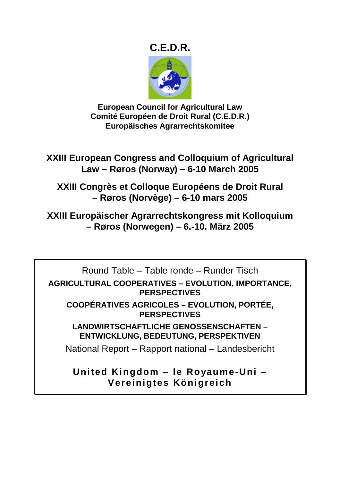# **C.E.D.R.**



**European Council for Agricultural Law Comité Européen de Droit Rural (C.E.D.R.) Europäisches Agrarrechtskomitee** 

**XXIII European Congress and Colloquium of Agricultural Law – Røros (Norway) – 6-10 March 2005** 

**XXIII Congrès et Colloque Européens de Droit Rural – Røros (Norvège) – 6-10 mars 2005** 

**XXIII Europäischer Agrarrechtskongress mit Kolloquium – Røros (Norwegen) – 6.-10. März 2005** 

Round Table – Table ronde – Runder Tisch **AGRICULTURAL COOPERATIVES – EVOLUTION, IMPORTANCE, PERSPECTIVES COOPÉRATIVES AGRICOLES – EVOLUTION, PORTÉE, PERSPECTIVES LANDWIRTSCHAFTLICHE GENOSSENSCHAFTEN –** 

**ENTWICKLUNG, BEDEUTUNG, PERSPEKTIVEN** 

National Report – Rapport national – Landesbericht

**United Kingdom – le Royaume-Uni – Vereinigtes Königreich**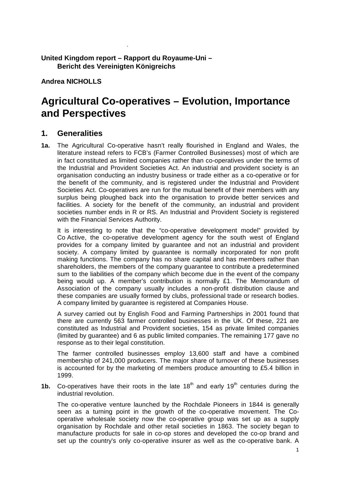#### **United Kingdom report – Rapport du Royaume-Uni – Bericht des Vereinigten Königreichs**

**Andrea NICHOLLS** 

.

# **Agricultural Co-operatives – Evolution, Importance and Perspectives**

#### **1. Generalities**

**1a.** The Agricultural Co-operative hasn't really flourished in England and Wales, the literature instead refers to FCB's (Farmer Controlled Businesses) most of which are in fact constituted as limited companies rather than co-operatives under the terms of the Industrial and Provident Societies Act. An industrial and provident society is an organisation conducting an industry business or trade either as a co-operative or for the benefit of the community, and is registered under the Industrial and Provident Societies Act. Co-operatives are run for the mutual benefit of their members with any surplus being ploughed back into the organisation to provide better services and facilities. A society for the benefit of the community, an industrial and provident societies number ends in R or RS. An Industrial and Provident Society is registered with the Financial Services Authority.

It is interesting to note that the "co-operative development model" provided by Co Active, the co-operative development agency for the south west of England provides for a company limited by guarantee and not an industrial and provident society. A company limited by guarantee is normally incorporated for non profit making functions. The company has no share capital and has members rather than shareholders, the members of the company guarantee to contribute a predetermined sum to the liabilities of the company which become due in the event of the company being would up. A member's contribution is normally £1. The Memorandum of Association of the company usually includes a non-profit distribution clause and these companies are usually formed by clubs, professional trade or research bodies. A company limited by guarantee is registered at Companies House.

A survey carried out by English Food and Farming Partnerships in 2001 found that there are currently 563 farmer controlled businesses in the UK. Of these, 221 are constituted as Industrial and Provident societies, 154 as private limited companies (limited by guarantee) and 6 as public limited companies. The remaining 177 gave no response as to their legal constitution.

The farmer controlled businesses employ 13,600 staff and have a combined membership of 241,000 producers. The major share of turnover of these businesses is accounted for by the marketing of members produce amounting to £5.4 billion in 1999.

**1b.** Co-operatives have their roots in the late  $18<sup>th</sup>$  and early  $19<sup>th</sup>$  centuries during the industrial revolution.

The co-operative venture launched by the Rochdale Pioneers in 1844 is generally seen as a turning point in the growth of the co-operative movement. The Cooperative wholesale society now the co-operative group was set up as a supply organisation by Rochdale and other retail societies in 1863. The society began to manufacture products for sale in co-op stores and developed the co-op brand and set up the country's only co-operative insurer as well as the co-operative bank. A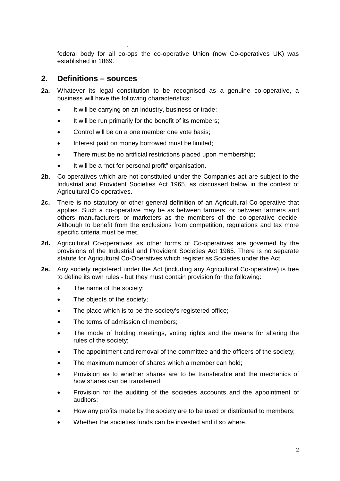federal body for all co-ops the co-operative Union (now Co-operatives UK) was established in 1869.

#### **2. Definitions – sources**

.

- **2a.** Whatever its legal constitution to be recognised as a genuine co-operative, a business will have the following characteristics:
	- It will be carrying on an industry, business or trade;
	- It will be run primarily for the benefit of its members;
	- Control will be on a one member one vote basis;
	- Interest paid on money borrowed must be limited;
	- There must be no artificial restrictions placed upon membership;
	- It will be a "not for personal profit" organisation.
- **2b.** Co-operatives which are not constituted under the Companies act are subject to the Industrial and Provident Societies Act 1965, as discussed below in the context of Agricultural Co-operatives.
- **2c.** There is no statutory or other general definition of an Agricultural Co-operative that applies. Such a co-operative may be as between farmers, or between farmers and others manufacturers or marketers as the members of the co-operative decide. Although to benefit from the exclusions from competition, regulations and tax more specific criteria must be met.
- **2d.** Agricultural Co-operatives as other forms of Co-operatives are governed by the provisions of the Industrial and Provident Societies Act 1965. There is no separate statute for Agricultural Co-Operatives which register as Societies under the Act.
- **2e.** Any society registered under the Act (including any Agricultural Co-operative) is free to define its own rules - but they must contain provision for the following:
	- The name of the society;
	- The objects of the society;
	- The place which is to be the society's registered office;
	- The terms of admission of members:
	- The mode of holding meetings, voting rights and the means for altering the rules of the society;
	- The appointment and removal of the committee and the officers of the society;
	- The maximum number of shares which a member can hold:
	- Provision as to whether shares are to be transferable and the mechanics of how shares can be transferred;
	- Provision for the auditing of the societies accounts and the appointment of auditors;
	- How any profits made by the society are to be used or distributed to members;
	- Whether the societies funds can be invested and if so where.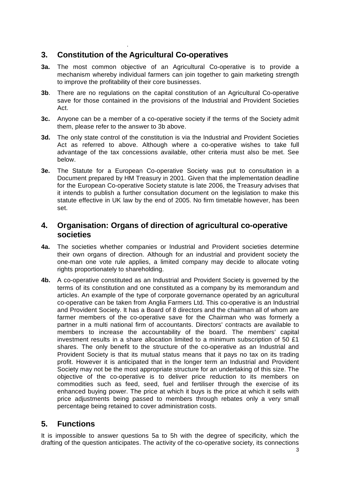## **3. Constitution of the Agricultural Co-operatives**

.

- **3a.** The most common objective of an Agricultural Co-operative is to provide a mechanism whereby individual farmers can join together to gain marketing strength to improve the profitability of their core businesses.
- **3b**. There are no regulations on the capital constitution of an Agricultural Co-operative save for those contained in the provisions of the Industrial and Provident Societies Act.
- **3c.** Anyone can be a member of a co-operative society if the terms of the Society admit them, please refer to the answer to 3b above.
- **3d.** The only state control of the constitution is via the Industrial and Provident Societies Act as referred to above. Although where a co-operative wishes to take full advantage of the tax concessions available, other criteria must also be met. See below.
- **3e.** The Statute for a European Co-operative Society was put to consultation in a Document prepared by HM Treasury in 2001. Given that the implementation deadline for the European Co-operative Society statute is late 2006, the Treasury advises that it intends to publish a further consultation document on the legislation to make this statute effective in UK law by the end of 2005. No firm timetable however, has been set.

### **4. Organisation: Organs of direction of agricultural co-operative societies**

- **4a.** The societies whether companies or Industrial and Provident societies determine their own organs of direction. Although for an industrial and provident society the one-man one vote rule applies, a limited company may decide to allocate voting rights proportionately to shareholding.
- **4b.** A co-operative constituted as an Industrial and Provident Society is governed by the terms of its constitution and one constituted as a company by its memorandum and articles. An example of the type of corporate governance operated by an agricultural co-operative can be taken from Anglia Farmers Ltd. This co-operative is an Industrial and Provident Society. It has a Board of 8 directors and the chairman all of whom are farmer members of the co-operative save for the Chairman who was formerly a partner in a multi national firm of accountants. Directors' contracts are available to members to increase the accountability of the board. The members' capital investment results in a share allocation limited to a minimum subscription of 50 £1 shares. The only benefit to the structure of the co-operative as an Industrial and Provident Society is that its mutual status means that it pays no tax on its trading profit. However it is anticipated that in the longer term an Industrial and Provident Society may not be the most appropriate structure for an undertaking of this size. The objective of the co-operative is to deliver price reduction to its members on commodities such as feed, seed, fuel and fertiliser through the exercise of its enhanced buying power. The price at which it buys is the price at which it sells with price adjustments being passed to members through rebates only a very small percentage being retained to cover administration costs.

## **5. Functions**

It is impossible to answer questions 5a to 5h with the degree of specificity, which the drafting of the question anticipates. The activity of the co-operative society, its connections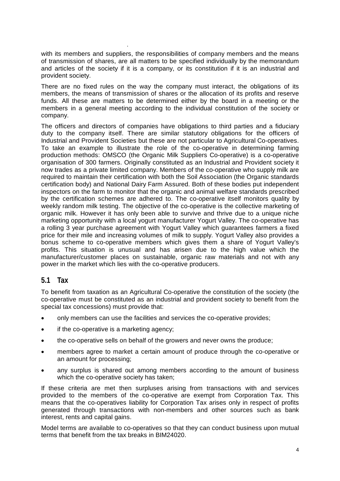with its members and suppliers, the responsibilities of company members and the means of transmission of shares, are all matters to be specified individually by the memorandum and articles of the society if it is a company, or its constitution if it is an industrial and provident society.

There are no fixed rules on the way the company must interact, the obligations of its members, the means of transmission of shares or the allocation of its profits and reserve funds. All these are matters to be determined either by the board in a meeting or the members in a general meeting according to the individual constitution of the society or company.

The officers and directors of companies have obligations to third parties and a fiduciary duty to the company itself. There are similar statutory obligations for the officers of Industrial and Provident Societies but these are not particular to Agricultural Co-operatives. To take an example to illustrate the role of the co-operative in determining farming production methods: OMSCO (the Organic Milk Suppliers Co-operative) is a co-operative organisation of 300 farmers. Originally constituted as an Industrial and Provident society it now trades as a private limited company. Members of the co-operative who supply milk are required to maintain their certification with both the Soil Association (the Organic standards certification body) and National Dairy Farm Assured. Both of these bodies put independent inspectors on the farm to monitor that the organic and animal welfare standards prescribed by the certification schemes are adhered to. The co-operative itself monitors quality by weekly random milk testing. The objective of the co-operative is the collective marketing of organic milk. However it has only been able to survive and thrive due to a unique niche marketing opportunity with a local yogurt manufacturer Yogurt Valley. The co-operative has a rolling 3 year purchase agreement with Yogurt Valley which guarantees farmers a fixed price for their mile and increasing volumes of milk to supply. Yogurt Valley also provides a bonus scheme to co-operative members which gives them a share of Yogurt Valley's profits. This situation is unusual and has arisen due to the high value which the manufacturer/customer places on sustainable, organic raw materials and not with any power in the market which lies with the co-operative producers.

#### **5.1 Tax**

.

To benefit from taxation as an Agricultural Co-operative the constitution of the society (the co-operative must be constituted as an industrial and provident society to benefit from the special tax concessions) must provide that:

- only members can use the facilities and services the co-operative provides;
- if the co-operative is a marketing agency;
- the co-operative sells on behalf of the growers and never owns the produce;
- members agree to market a certain amount of produce through the co-operative or an amount for processing;
- any surplus is shared out among members according to the amount of business which the co-operative society has taken;

If these criteria are met then surpluses arising from transactions with and services provided to the members of the co-operative are exempt from Corporation Tax. This means that the co-operatives liability for Corporation Tax arises only in respect of profits generated through transactions with non-members and other sources such as bank interest, rents and capital gains.

Model terms are available to co-operatives so that they can conduct business upon mutual terms that benefit from the tax breaks in BIM24020.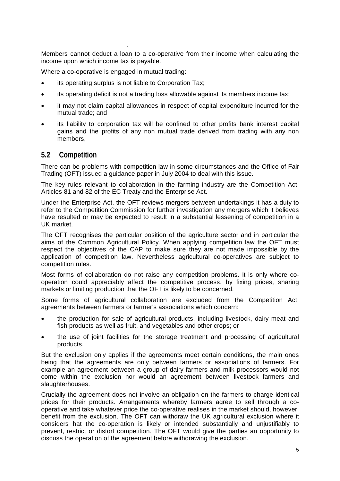Members cannot deduct a loan to a co-operative from their income when calculating the income upon which income tax is payable.

Where a co-operative is engaged in mutual trading:

.

- its operating surplus is not liable to Corporation Tax;
- its operating deficit is not a trading loss allowable against its members income tax;
- it may not claim capital allowances in respect of capital expenditure incurred for the mutual trade; and
- its liability to corporation tax will be confined to other profits bank interest capital gains and the profits of any non mutual trade derived from trading with any non members,

#### **5.2 Competition**

There can be problems with competition law in some circumstances and the Office of Fair Trading (OFT) issued a guidance paper in July 2004 to deal with this issue.

The key rules relevant to collaboration in the farming industry are the Competition Act, Articles 81 and 82 of the EC Treaty and the Enterprise Act.

Under the Enterprise Act, the OFT reviews mergers between undertakings it has a duty to refer to the Competition Commission for further investigation any mergers which it believes have resulted or may be expected to result in a substantial lessening of competition in a UK market.

The OFT recognises the particular position of the agriculture sector and in particular the aims of the Common Agricultural Policy. When applying competition law the OFT must respect the objectives of the CAP to make sure they are not made impossible by the application of competition law. Nevertheless agricultural co-operatives are subject to competition rules.

Most forms of collaboration do not raise any competition problems. It is only where cooperation could appreciably affect the competitive process, by fixing prices, sharing markets or limiting production that the OFT is likely to be concerned.

Some forms of agricultural collaboration are excluded from the Competition Act, agreements between farmers or farmer's associations which concern:

- the production for sale of agricultural products, including livestock, dairy meat and fish products as well as fruit, and vegetables and other crops; or
- the use of joint facilities for the storage treatment and processing of agricultural products.

But the exclusion only applies if the agreements meet certain conditions, the main ones being that the agreements are only between farmers or associations of farmers. For example an agreement between a group of dairy farmers and milk processors would not come within the exclusion nor would an agreement between livestock farmers and slaughterhouses.

Crucially the agreement does not involve an obligation on the farmers to charge identical prices for their products. Arrangements whereby farmers agree to sell through a cooperative and take whatever price the co-operative realises in the market should, however, benefit from the exclusion. The OFT can withdraw the UK agricultural exclusion where it considers hat the co-operation is likely or intended substantially and unjustifiably to prevent, restrict or distort competition. The OFT would give the parties an opportunity to discuss the operation of the agreement before withdrawing the exclusion.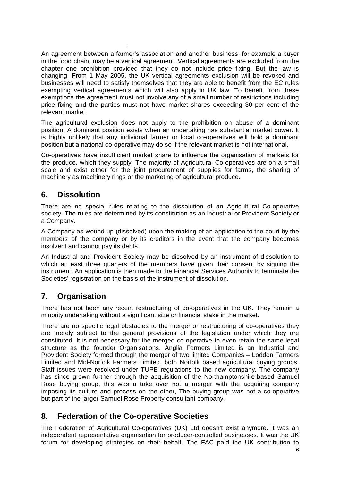An agreement between a farmer's association and another business, for example a buyer in the food chain, may be a vertical agreement. Vertical agreements are excluded from the chapter one prohibition provided that they do not include price fixing. But the law is changing. From 1 May 2005, the UK vertical agreements exclusion will be revoked and businesses will need to satisfy themselves that they are able to benefit from the EC rules exempting vertical agreements which will also apply in UK law. To benefit from these exemptions the agreement must not involve any of a small number of restrictions including price fixing and the parties must not have market shares exceeding 30 per cent of the relevant market.

The agricultural exclusion does not apply to the prohibition on abuse of a dominant position. A dominant position exists when an undertaking has substantial market power. It is highly unlikely that any individual farmer or local co-operatives will hold a dominant position but a national co-operative may do so if the relevant market is not international.

Co-operatives have insufficient market share to influence the organisation of markets for the produce, which they supply. The majority of Agricultural Co-operatives are on a small scale and exist either for the joint procurement of supplies for farms, the sharing of machinery as machinery rings or the marketing of agricultural produce.

### **6. Dissolution**

.

There are no special rules relating to the dissolution of an Agricultural Co-operative society. The rules are determined by its constitution as an Industrial or Provident Society or a Company.

A Company as wound up (dissolved) upon the making of an application to the court by the members of the company or by its creditors in the event that the company becomes insolvent and cannot pay its debts.

An Industrial and Provident Society may be dissolved by an instrument of dissolution to which at least three quarters of the members have given their consent by signing the instrument. An application is then made to the Financial Services Authority to terminate the Societies' registration on the basis of the instrument of dissolution.

## **7. Organisation**

There has not been any recent restructuring of co-operatives in the UK. They remain a minority undertaking without a significant size or financial stake in the market.

There are no specific legal obstacles to the merger or restructuring of co-operatives they are merely subject to the general provisions of the legislation under which they are constituted. It is not necessary for the merged co-operative to even retain the same legal structure as the founder Organisations. Anglia Farmers Limited is an Industrial and Provident Society formed through the merger of two limited Companies – Loddon Farmers Limited and Mid-Norfolk Farmers Limited, both Norfolk based agricultural buying groups. Staff issues were resolved under TUPE regulations to the new company. The company has since grown further through the acquisition of the Northamptonshire-based Samuel Rose buying group, this was a take over not a merger with the acquiring company imposing its culture and process on the other, The buying group was not a co-operative but part of the larger Samuel Rose Property consultant company.

#### **8. Federation of the Co-operative Societies**

The Federation of Agricultural Co-operatives (UK) Ltd doesn't exist anymore. It was an independent representative organisation for producer-controlled businesses. It was the UK forum for developing strategies on their behalf. The FAC paid the UK contribution to